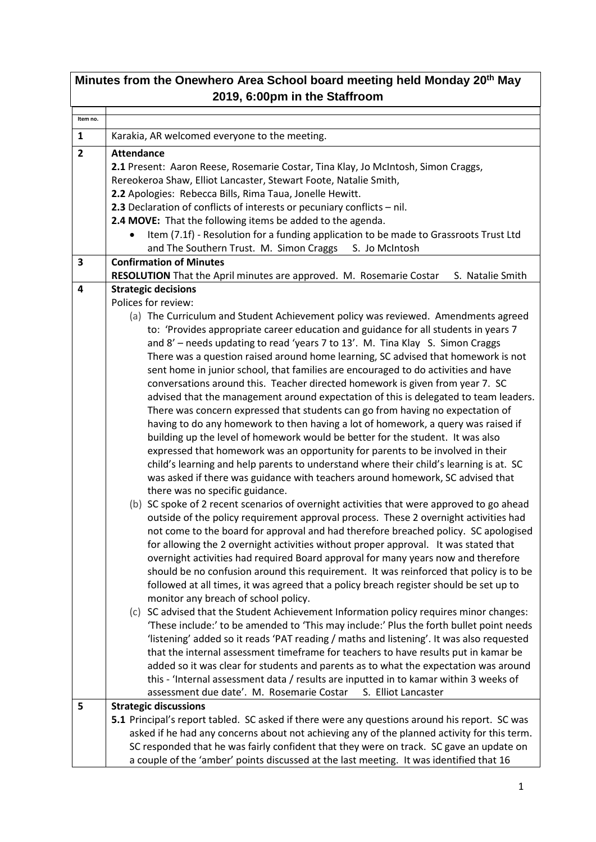| Minutes from the Onewhero Area School board meeting held Monday 20 <sup>th</sup> May<br>2019, 6:00pm in the Staffroom |                                                                                                                                                                               |  |
|-----------------------------------------------------------------------------------------------------------------------|-------------------------------------------------------------------------------------------------------------------------------------------------------------------------------|--|
|                                                                                                                       |                                                                                                                                                                               |  |
| Item no.                                                                                                              |                                                                                                                                                                               |  |
| $\mathbf{1}$                                                                                                          | Karakia, AR welcomed everyone to the meeting.                                                                                                                                 |  |
| $\overline{2}$                                                                                                        | <b>Attendance</b>                                                                                                                                                             |  |
|                                                                                                                       | 2.1 Present: Aaron Reese, Rosemarie Costar, Tina Klay, Jo McIntosh, Simon Craggs,<br>Rereokeroa Shaw, Elliot Lancaster, Stewart Foote, Natalie Smith,                         |  |
|                                                                                                                       | 2.2 Apologies: Rebecca Bills, Rima Taua, Jonelle Hewitt.                                                                                                                      |  |
|                                                                                                                       | 2.3 Declaration of conflicts of interests or pecuniary conflicts - nil.                                                                                                       |  |
|                                                                                                                       | 2.4 MOVE: That the following items be added to the agenda.                                                                                                                    |  |
|                                                                                                                       | Item (7.1f) - Resolution for a funding application to be made to Grassroots Trust Ltd                                                                                         |  |
|                                                                                                                       | and The Southern Trust. M. Simon Craggs<br>S. Jo McIntosh                                                                                                                     |  |
| 3                                                                                                                     | <b>Confirmation of Minutes</b>                                                                                                                                                |  |
|                                                                                                                       | RESOLUTION That the April minutes are approved. M. Rosemarie Costar<br>S. Natalie Smith                                                                                       |  |
| 4                                                                                                                     | <b>Strategic decisions</b><br>Polices for review:                                                                                                                             |  |
|                                                                                                                       | (a) The Curriculum and Student Achievement policy was reviewed. Amendments agreed                                                                                             |  |
|                                                                                                                       | to: 'Provides appropriate career education and guidance for all students in years 7                                                                                           |  |
|                                                                                                                       | and 8' - needs updating to read 'years 7 to 13'. M. Tina Klay S. Simon Craggs                                                                                                 |  |
|                                                                                                                       | There was a question raised around home learning, SC advised that homework is not                                                                                             |  |
|                                                                                                                       | sent home in junior school, that families are encouraged to do activities and have                                                                                            |  |
|                                                                                                                       | conversations around this. Teacher directed homework is given from year 7. SC                                                                                                 |  |
|                                                                                                                       | advised that the management around expectation of this is delegated to team leaders.                                                                                          |  |
|                                                                                                                       | There was concern expressed that students can go from having no expectation of<br>having to do any homework to then having a lot of homework, a query was raised if           |  |
|                                                                                                                       | building up the level of homework would be better for the student. It was also                                                                                                |  |
|                                                                                                                       | expressed that homework was an opportunity for parents to be involved in their                                                                                                |  |
|                                                                                                                       | child's learning and help parents to understand where their child's learning is at. SC                                                                                        |  |
|                                                                                                                       | was asked if there was guidance with teachers around homework, SC advised that                                                                                                |  |
|                                                                                                                       | there was no specific guidance.                                                                                                                                               |  |
|                                                                                                                       | (b) SC spoke of 2 recent scenarios of overnight activities that were approved to go ahead                                                                                     |  |
|                                                                                                                       | outside of the policy requirement approval process. These 2 overnight activities had                                                                                          |  |
|                                                                                                                       | not come to the board for approval and had therefore breached policy. SC apologised<br>for allowing the 2 overnight activities without proper approval. It was stated that    |  |
|                                                                                                                       | overnight activities had required Board approval for many years now and therefore                                                                                             |  |
|                                                                                                                       | should be no confusion around this requirement. It was reinforced that policy is to be                                                                                        |  |
|                                                                                                                       | followed at all times, it was agreed that a policy breach register should be set up to                                                                                        |  |
|                                                                                                                       | monitor any breach of school policy.                                                                                                                                          |  |
|                                                                                                                       | (c) SC advised that the Student Achievement Information policy requires minor changes:                                                                                        |  |
|                                                                                                                       | 'These include:' to be amended to 'This may include:' Plus the forth bullet point needs                                                                                       |  |
|                                                                                                                       | 'listening' added so it reads 'PAT reading / maths and listening'. It was also requested                                                                                      |  |
|                                                                                                                       | that the internal assessment timeframe for teachers to have results put in kamar be                                                                                           |  |
|                                                                                                                       | added so it was clear for students and parents as to what the expectation was around<br>this - 'Internal assessment data / results are inputted in to kamar within 3 weeks of |  |
|                                                                                                                       | assessment due date'. M. Rosemarie Costar<br>S. Elliot Lancaster                                                                                                              |  |
| 5                                                                                                                     | <b>Strategic discussions</b>                                                                                                                                                  |  |
|                                                                                                                       | 5.1 Principal's report tabled. SC asked if there were any questions around his report. SC was                                                                                 |  |
|                                                                                                                       | asked if he had any concerns about not achieving any of the planned activity for this term.                                                                                   |  |
|                                                                                                                       | SC responded that he was fairly confident that they were on track. SC gave an update on                                                                                       |  |
|                                                                                                                       | a couple of the 'amber' points discussed at the last meeting. It was identified that 16                                                                                       |  |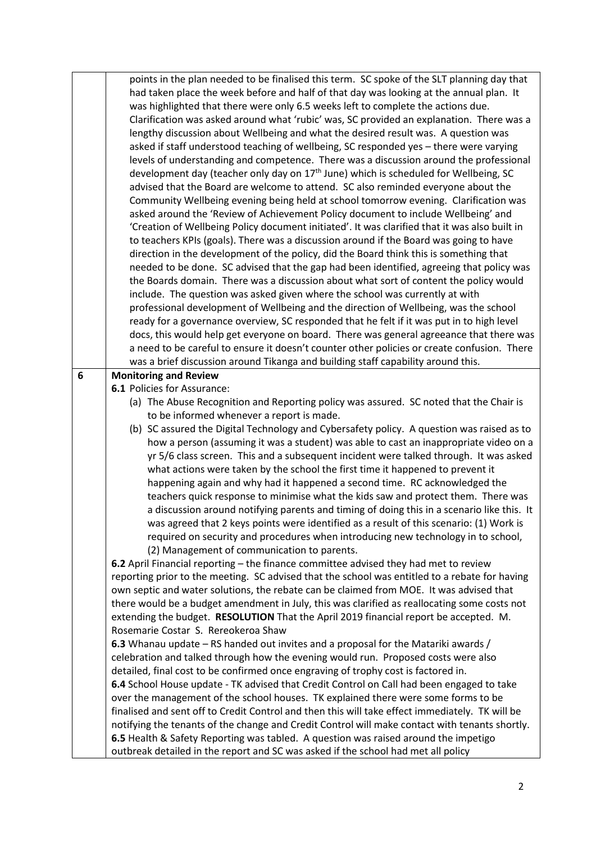|   | points in the plan needed to be finalised this term. SC spoke of the SLT planning day that       |
|---|--------------------------------------------------------------------------------------------------|
|   | had taken place the week before and half of that day was looking at the annual plan. It          |
|   | was highlighted that there were only 6.5 weeks left to complete the actions due.                 |
|   | Clarification was asked around what 'rubic' was, SC provided an explanation. There was a         |
|   | lengthy discussion about Wellbeing and what the desired result was. A question was               |
|   | asked if staff understood teaching of wellbeing, SC responded yes - there were varying           |
|   | levels of understanding and competence. There was a discussion around the professional           |
|   | development day (teacher only day on 17 <sup>th</sup> June) which is scheduled for Wellbeing, SC |
|   | advised that the Board are welcome to attend. SC also reminded everyone about the                |
|   | Community Wellbeing evening being held at school tomorrow evening. Clarification was             |
|   | asked around the 'Review of Achievement Policy document to include Wellbeing' and                |
|   |                                                                                                  |
|   | 'Creation of Wellbeing Policy document initiated'. It was clarified that it was also built in    |
|   | to teachers KPIs (goals). There was a discussion around if the Board was going to have           |
|   | direction in the development of the policy, did the Board think this is something that           |
|   | needed to be done. SC advised that the gap had been identified, agreeing that policy was         |
|   | the Boards domain. There was a discussion about what sort of content the policy would            |
|   | include. The question was asked given where the school was currently at with                     |
|   | professional development of Wellbeing and the direction of Wellbeing, was the school             |
|   | ready for a governance overview, SC responded that he felt if it was put in to high level        |
|   | docs, this would help get everyone on board. There was general agreeance that there was          |
|   | a need to be careful to ensure it doesn't counter other policies or create confusion. There      |
|   | was a brief discussion around Tikanga and building staff capability around this.                 |
| 6 | <b>Monitoring and Review</b>                                                                     |
|   | 6.1 Policies for Assurance:                                                                      |
|   | (a) The Abuse Recognition and Reporting policy was assured. SC noted that the Chair is           |
|   | to be informed whenever a report is made.                                                        |
|   | (b) SC assured the Digital Technology and Cybersafety policy. A question was raised as to        |
|   | how a person (assuming it was a student) was able to cast an inappropriate video on a            |
|   | yr 5/6 class screen. This and a subsequent incident were talked through. It was asked            |
|   | what actions were taken by the school the first time it happened to prevent it                   |
|   | happening again and why had it happened a second time. RC acknowledged the                       |
|   | teachers quick response to minimise what the kids saw and protect them. There was                |
|   | a discussion around notifying parents and timing of doing this in a scenario like this. It       |
|   | was agreed that 2 keys points were identified as a result of this scenario: (1) Work is          |
|   | required on security and procedures when introducing new technology in to school,                |
|   | (2) Management of communication to parents.                                                      |
|   | 6.2 April Financial reporting - the finance committee advised they had met to review             |
|   | reporting prior to the meeting. SC advised that the school was entitled to a rebate for having   |
|   | own septic and water solutions, the rebate can be claimed from MOE. It was advised that          |
|   | there would be a budget amendment in July, this was clarified as reallocating some costs not     |
|   | extending the budget. RESOLUTION That the April 2019 financial report be accepted. M.            |
|   | Rosemarie Costar S. Rereokeroa Shaw                                                              |
|   |                                                                                                  |
|   | 6.3 Whanau update – RS handed out invites and a proposal for the Matariki awards /               |
|   | celebration and talked through how the evening would run. Proposed costs were also               |
|   | detailed, final cost to be confirmed once engraving of trophy cost is factored in.               |
|   | 6.4 School House update - TK advised that Credit Control on Call had been engaged to take        |
|   | over the management of the school houses. TK explained there were some forms to be               |
|   | finalised and sent off to Credit Control and then this will take effect immediately. TK will be  |
|   | notifying the tenants of the change and Credit Control will make contact with tenants shortly.   |
|   | 6.5 Health & Safety Reporting was tabled. A question was raised around the impetigo              |
|   | outbreak detailed in the report and SC was asked if the school had met all policy                |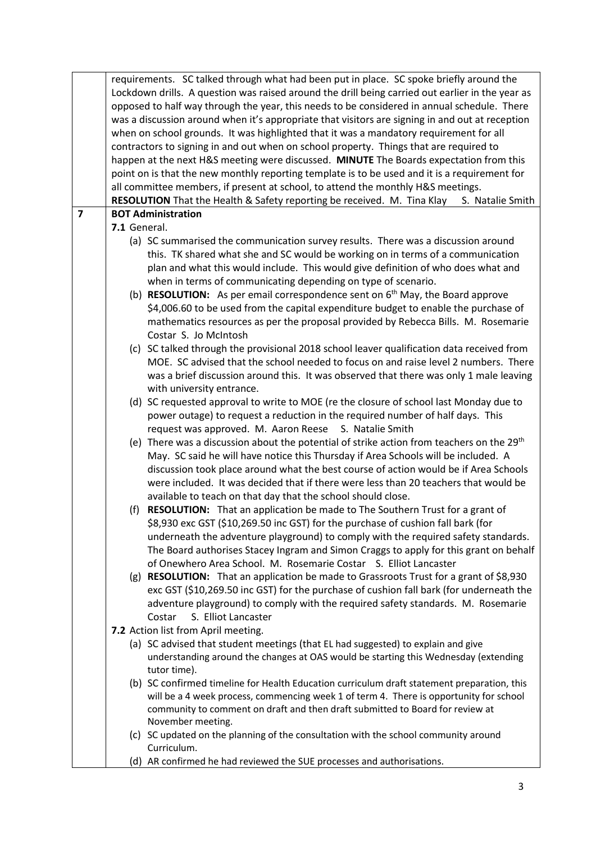|                | requirements. SC talked through what had been put in place. SC spoke briefly around the          |  |  |
|----------------|--------------------------------------------------------------------------------------------------|--|--|
|                | Lockdown drills. A question was raised around the drill being carried out earlier in the year as |  |  |
|                | opposed to half way through the year, this needs to be considered in annual schedule. There      |  |  |
|                | was a discussion around when it's appropriate that visitors are signing in and out at reception  |  |  |
|                | when on school grounds. It was highlighted that it was a mandatory requirement for all           |  |  |
|                | contractors to signing in and out when on school property. Things that are required to           |  |  |
|                | happen at the next H&S meeting were discussed. MINUTE The Boards expectation from this           |  |  |
|                | point on is that the new monthly reporting template is to be used and it is a requirement for    |  |  |
|                | all committee members, if present at school, to attend the monthly H&S meetings.                 |  |  |
|                | RESOLUTION That the Health & Safety reporting be received. M. Tina Klay<br>S. Natalie Smith      |  |  |
| $\overline{7}$ | <b>BOT Administration</b>                                                                        |  |  |
|                | 7.1 General.                                                                                     |  |  |
|                | (a) SC summarised the communication survey results. There was a discussion around                |  |  |
|                | this. TK shared what she and SC would be working on in terms of a communication                  |  |  |
|                | plan and what this would include. This would give definition of who does what and                |  |  |
|                | when in terms of communicating depending on type of scenario.                                    |  |  |
|                | (b) <b>RESOLUTION:</b> As per email correspondence sent on $6th$ May, the Board approve          |  |  |
|                | \$4,006.60 to be used from the capital expenditure budget to enable the purchase of              |  |  |
|                | mathematics resources as per the proposal provided by Rebecca Bills. M. Rosemarie                |  |  |
|                | Costar S. Jo McIntosh                                                                            |  |  |
|                | (c) SC talked through the provisional 2018 school leaver qualification data received from        |  |  |
|                | MOE. SC advised that the school needed to focus on and raise level 2 numbers. There              |  |  |
|                | was a brief discussion around this. It was observed that there was only 1 male leaving           |  |  |
|                | with university entrance.                                                                        |  |  |
|                | (d) SC requested approval to write to MOE (re the closure of school last Monday due to           |  |  |
|                | power outage) to request a reduction in the required number of half days. This                   |  |  |
|                | request was approved. M. Aaron Reese S. Natalie Smith                                            |  |  |
|                | (e) There was a discussion about the potential of strike action from teachers on the $29th$      |  |  |
|                | May. SC said he will have notice this Thursday if Area Schools will be included. A               |  |  |
|                | discussion took place around what the best course of action would be if Area Schools             |  |  |
|                | were included. It was decided that if there were less than 20 teachers that would be             |  |  |
|                | available to teach on that day that the school should close.                                     |  |  |
|                | (f) <b>RESOLUTION:</b> That an application be made to The Southern Trust for a grant of          |  |  |
|                | \$8,930 exc GST (\$10,269.50 inc GST) for the purchase of cushion fall bark (for                 |  |  |
|                | underneath the adventure playground) to comply with the required safety standards.               |  |  |
|                | The Board authorises Stacey Ingram and Simon Craggs to apply for this grant on behalf            |  |  |
|                | of Onewhero Area School. M. Rosemarie Costar S. Elliot Lancaster                                 |  |  |
|                | (g) RESOLUTION: That an application be made to Grassroots Trust for a grant of \$8,930           |  |  |
|                | exc GST (\$10,269.50 inc GST) for the purchase of cushion fall bark (for underneath the          |  |  |
|                | adventure playground) to comply with the required safety standards. M. Rosemarie                 |  |  |
|                | S. Elliot Lancaster<br>Costar                                                                    |  |  |
|                | 7.2 Action list from April meeting.                                                              |  |  |
|                | (a) SC advised that student meetings (that EL had suggested) to explain and give                 |  |  |
|                | understanding around the changes at OAS would be starting this Wednesday (extending              |  |  |
|                | tutor time).                                                                                     |  |  |
|                | (b) SC confirmed timeline for Health Education curriculum draft statement preparation, this      |  |  |
|                | will be a 4 week process, commencing week 1 of term 4. There is opportunity for school           |  |  |
|                | community to comment on draft and then draft submitted to Board for review at                    |  |  |
|                | November meeting.                                                                                |  |  |
|                | (c) SC updated on the planning of the consultation with the school community around              |  |  |
|                | Curriculum.                                                                                      |  |  |
|                | (d) AR confirmed he had reviewed the SUE processes and authorisations.                           |  |  |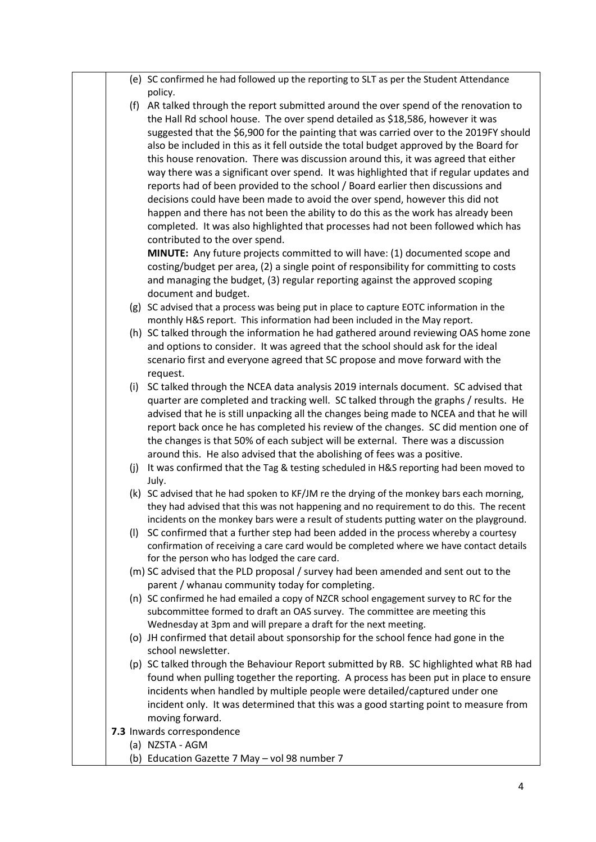|     | (e) SC confirmed he had followed up the reporting to SLT as per the Student Attendance                                                                                            |
|-----|-----------------------------------------------------------------------------------------------------------------------------------------------------------------------------------|
|     | policy.<br>(f) AR talked through the report submitted around the over spend of the renovation to<br>the Hall Rd school house. The over spend detailed as \$18,586, however it was |
|     | suggested that the \$6,900 for the painting that was carried over to the 2019FY should                                                                                            |
|     | also be included in this as it fell outside the total budget approved by the Board for                                                                                            |
|     | this house renovation. There was discussion around this, it was agreed that either                                                                                                |
|     | way there was a significant over spend. It was highlighted that if regular updates and                                                                                            |
|     | reports had of been provided to the school / Board earlier then discussions and                                                                                                   |
|     | decisions could have been made to avoid the over spend, however this did not                                                                                                      |
|     | happen and there has not been the ability to do this as the work has already been                                                                                                 |
|     | completed. It was also highlighted that processes had not been followed which has                                                                                                 |
|     | contributed to the over spend.                                                                                                                                                    |
|     | MINUTE: Any future projects committed to will have: (1) documented scope and                                                                                                      |
|     | costing/budget per area, (2) a single point of responsibility for committing to costs                                                                                             |
|     | and managing the budget, (3) regular reporting against the approved scoping                                                                                                       |
|     | document and budget.<br>(g) SC advised that a process was being put in place to capture EOTC information in the                                                                   |
|     | monthly H&S report. This information had been included in the May report.                                                                                                         |
|     | (h) SC talked through the information he had gathered around reviewing OAS home zone                                                                                              |
|     | and options to consider. It was agreed that the school should ask for the ideal                                                                                                   |
|     | scenario first and everyone agreed that SC propose and move forward with the                                                                                                      |
|     | request.                                                                                                                                                                          |
|     | (i) SC talked through the NCEA data analysis 2019 internals document. SC advised that                                                                                             |
|     | quarter are completed and tracking well. SC talked through the graphs / results. He                                                                                               |
|     | advised that he is still unpacking all the changes being made to NCEA and that he will                                                                                            |
|     | report back once he has completed his review of the changes. SC did mention one of<br>the changes is that 50% of each subject will be external. There was a discussion            |
|     | around this. He also advised that the abolishing of fees was a positive.                                                                                                          |
| (j) | It was confirmed that the Tag & testing scheduled in H&S reporting had been moved to                                                                                              |
|     | July.                                                                                                                                                                             |
|     | (k) SC advised that he had spoken to KF/JM re the drying of the monkey bars each morning,                                                                                         |
|     | they had advised that this was not happening and no requirement to do this. The recent                                                                                            |
|     | incidents on the monkey bars were a result of students putting water on the playground.                                                                                           |
| (1) | SC confirmed that a further step had been added in the process whereby a courtesy                                                                                                 |
|     | confirmation of receiving a care card would be completed where we have contact details<br>for the person who has lodged the care card.                                            |
|     | (m) SC advised that the PLD proposal / survey had been amended and sent out to the                                                                                                |
|     | parent / whanau community today for completing.                                                                                                                                   |
|     | (n) SC confirmed he had emailed a copy of NZCR school engagement survey to RC for the                                                                                             |
|     | subcommittee formed to draft an OAS survey. The committee are meeting this                                                                                                        |
|     | Wednesday at 3pm and will prepare a draft for the next meeting.                                                                                                                   |
|     | (o) JH confirmed that detail about sponsorship for the school fence had gone in the                                                                                               |
|     | school newsletter.                                                                                                                                                                |
|     | (p) SC talked through the Behaviour Report submitted by RB. SC highlighted what RB had<br>found when pulling together the reporting. A process has been put in place to ensure    |
|     | incidents when handled by multiple people were detailed/captured under one                                                                                                        |
|     | incident only. It was determined that this was a good starting point to measure from                                                                                              |
|     | moving forward.                                                                                                                                                                   |
|     | 7.3 Inwards correspondence                                                                                                                                                        |
|     | (a) NZSTA - AGM                                                                                                                                                                   |
|     | (b) Education Gazette 7 May - vol 98 number 7                                                                                                                                     |